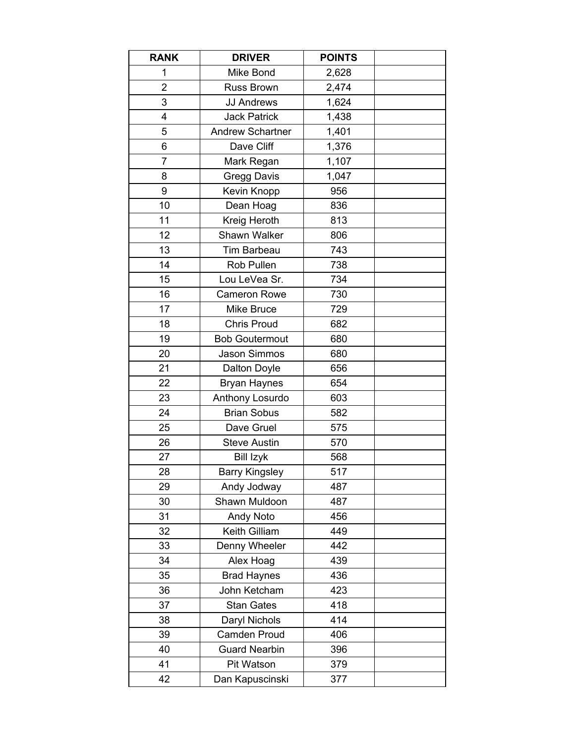| <b>RANK</b>    | <b>DRIVER</b>           | <b>POINTS</b> |  |
|----------------|-------------------------|---------------|--|
| 1              | Mike Bond               | 2,628         |  |
| $\overline{2}$ | <b>Russ Brown</b>       | 2,474         |  |
| 3              | <b>JJ Andrews</b>       | 1,624         |  |
| 4              | <b>Jack Patrick</b>     | 1,438         |  |
| 5              | <b>Andrew Schartner</b> | 1,401         |  |
| 6              | Dave Cliff              | 1,376         |  |
| 7              | Mark Regan              | 1,107         |  |
| 8              | <b>Gregg Davis</b>      | 1,047         |  |
| 9              | Kevin Knopp             | 956           |  |
| 10             | Dean Hoag               | 836           |  |
| 11             | Kreig Heroth            | 813           |  |
| 12             | Shawn Walker            | 806           |  |
| 13             | Tim Barbeau             | 743           |  |
| 14             | Rob Pullen              | 738           |  |
| 15             | Lou LeVea Sr.           | 734           |  |
| 16             | <b>Cameron Rowe</b>     | 730           |  |
| 17             | Mike Bruce              | 729           |  |
| 18             | <b>Chris Proud</b>      | 682           |  |
| 19             | <b>Bob Goutermout</b>   | 680           |  |
| 20             | Jason Simmos            | 680           |  |
| 21             | Dalton Doyle            | 656           |  |
| 22             | <b>Bryan Haynes</b>     | 654           |  |
| 23             | Anthony Losurdo         | 603           |  |
| 24             | <b>Brian Sobus</b>      | 582           |  |
| 25             | Dave Gruel              | 575           |  |
| 26             | <b>Steve Austin</b>     | 570           |  |
| 27             | <b>Bill Izyk</b>        | 568           |  |
| 28             | <b>Barry Kingsley</b>   | 517           |  |
| 29             | Andy Jodway             | 487           |  |
| 30             | Shawn Muldoon           | 487           |  |
| 31             | <b>Andy Noto</b>        | 456           |  |
| 32             | Keith Gilliam           | 449           |  |
| 33             | Denny Wheeler           | 442           |  |
| 34             | Alex Hoag               | 439           |  |
| 35             | <b>Brad Haynes</b>      | 436           |  |
| 36             | John Ketcham            | 423           |  |
| 37             | <b>Stan Gates</b>       | 418           |  |
| 38             | Daryl Nichols           | 414           |  |
| 39             | Camden Proud            | 406           |  |
| 40             | <b>Guard Nearbin</b>    | 396           |  |
| 41             | Pit Watson              | 379           |  |
| 42             | Dan Kapuscinski         | 377           |  |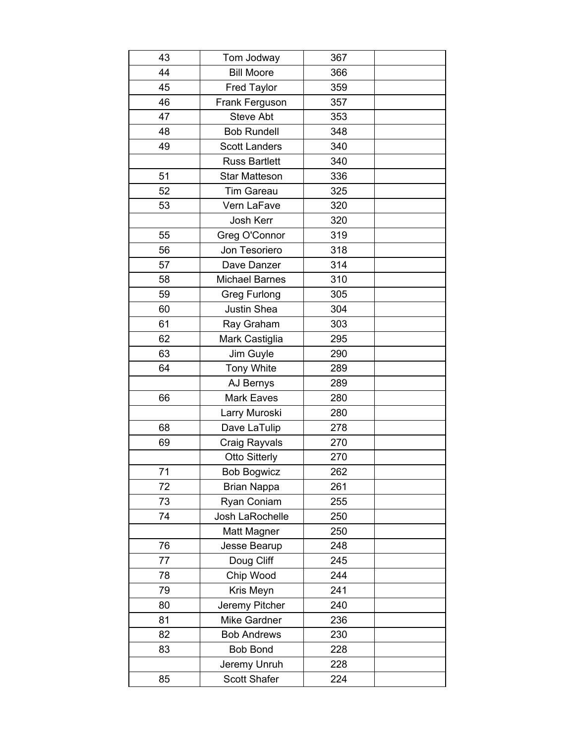| 43 | Tom Jodway            | 367 |  |
|----|-----------------------|-----|--|
| 44 | <b>Bill Moore</b>     | 366 |  |
| 45 | <b>Fred Taylor</b>    | 359 |  |
| 46 | Frank Ferguson        | 357 |  |
| 47 | <b>Steve Abt</b>      | 353 |  |
| 48 | <b>Bob Rundell</b>    | 348 |  |
| 49 | <b>Scott Landers</b>  | 340 |  |
|    | <b>Russ Bartlett</b>  | 340 |  |
| 51 | <b>Star Matteson</b>  | 336 |  |
| 52 | <b>Tim Gareau</b>     | 325 |  |
| 53 | Vern LaFave           | 320 |  |
|    | <b>Josh Kerr</b>      | 320 |  |
| 55 | Greg O'Connor         | 319 |  |
| 56 | Jon Tesoriero         | 318 |  |
| 57 | Dave Danzer           | 314 |  |
| 58 | <b>Michael Barnes</b> | 310 |  |
| 59 | <b>Greg Furlong</b>   | 305 |  |
| 60 | <b>Justin Shea</b>    | 304 |  |
| 61 | Ray Graham            | 303 |  |
| 62 | Mark Castiglia        | 295 |  |
| 63 | Jim Guyle             | 290 |  |
| 64 | <b>Tony White</b>     | 289 |  |
|    | AJ Bernys             | 289 |  |
| 66 | Mark Eaves            | 280 |  |
|    | Larry Muroski         | 280 |  |
| 68 | Dave LaTulip          | 278 |  |
| 69 | Craig Rayvals         | 270 |  |
|    | <b>Otto Sitterly</b>  | 270 |  |
| 71 | <b>Bob Bogwicz</b>    | 262 |  |
| 72 | <b>Brian Nappa</b>    | 261 |  |
| 73 | Ryan Coniam           | 255 |  |
| 74 | Josh LaRochelle       | 250 |  |
|    | Matt Magner           | 250 |  |
| 76 | Jesse Bearup          | 248 |  |
| 77 | Doug Cliff            | 245 |  |
| 78 | Chip Wood             | 244 |  |
| 79 | Kris Meyn             | 241 |  |
| 80 | Jeremy Pitcher        | 240 |  |
| 81 | Mike Gardner          | 236 |  |
| 82 | <b>Bob Andrews</b>    | 230 |  |
| 83 | <b>Bob Bond</b>       | 228 |  |
|    | Jeremy Unruh          | 228 |  |
| 85 | Scott Shafer          | 224 |  |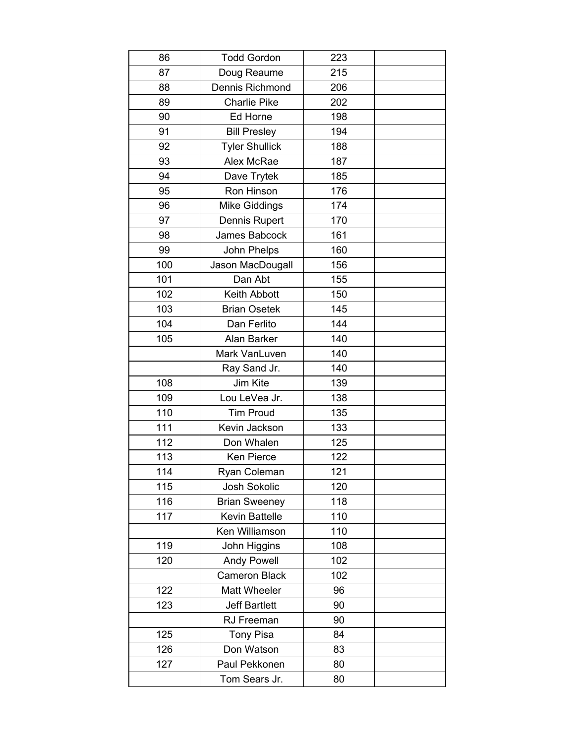| 86  | <b>Todd Gordon</b>    | 223 |  |
|-----|-----------------------|-----|--|
| 87  | Doug Reaume           | 215 |  |
| 88  | Dennis Richmond       | 206 |  |
| 89  | <b>Charlie Pike</b>   | 202 |  |
| 90  | Ed Horne              | 198 |  |
| 91  | <b>Bill Presley</b>   | 194 |  |
| 92  | <b>Tyler Shullick</b> | 188 |  |
| 93  | Alex McRae            | 187 |  |
| 94  | Dave Trytek           | 185 |  |
| 95  | Ron Hinson            | 176 |  |
| 96  | <b>Mike Giddings</b>  | 174 |  |
| 97  | Dennis Rupert         | 170 |  |
| 98  | James Babcock         | 161 |  |
| 99  | John Phelps           | 160 |  |
| 100 | Jason MacDougall      | 156 |  |
| 101 | Dan Abt               | 155 |  |
| 102 | Keith Abbott          | 150 |  |
| 103 | <b>Brian Osetek</b>   | 145 |  |
| 104 | Dan Ferlito           | 144 |  |
| 105 | Alan Barker           | 140 |  |
|     | Mark VanLuven         | 140 |  |
|     | Ray Sand Jr.          | 140 |  |
| 108 | Jim Kite              | 139 |  |
| 109 | Lou LeVea Jr.         | 138 |  |
| 110 | <b>Tim Proud</b>      | 135 |  |
| 111 | Kevin Jackson         | 133 |  |
| 112 | Don Whalen            | 125 |  |
| 113 | Ken Pierce            | 122 |  |
| 114 | Ryan Coleman          | 121 |  |
| 115 | Josh Sokolic          | 120 |  |
| 116 | <b>Brian Sweeney</b>  | 118 |  |
| 117 | <b>Kevin Battelle</b> | 110 |  |
|     | Ken Williamson        | 110 |  |
| 119 | John Higgins          | 108 |  |
| 120 | <b>Andy Powell</b>    | 102 |  |
|     | <b>Cameron Black</b>  | 102 |  |
| 122 | Matt Wheeler          | 96  |  |
| 123 | <b>Jeff Bartlett</b>  | 90  |  |
|     | RJ Freeman            | 90  |  |
| 125 | <b>Tony Pisa</b>      | 84  |  |
| 126 | Don Watson            | 83  |  |
| 127 | Paul Pekkonen         | 80  |  |
|     | Tom Sears Jr.         | 80  |  |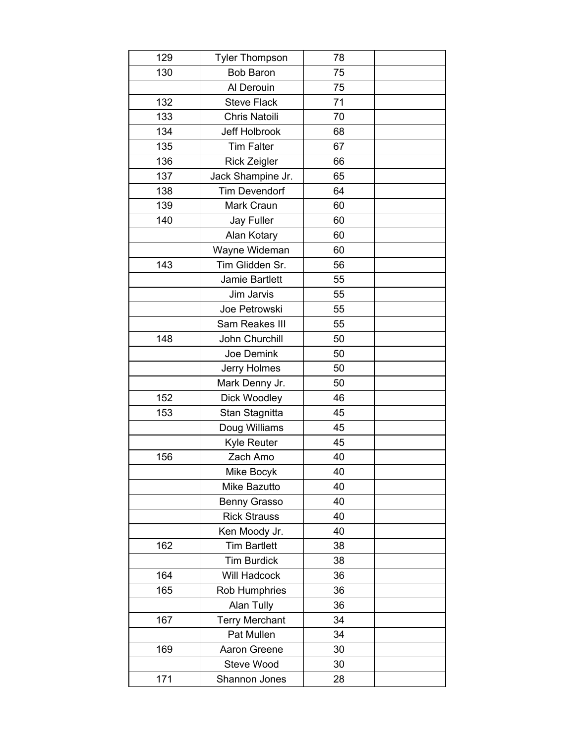| 129 | <b>Tyler Thompson</b> | 78 |  |
|-----|-----------------------|----|--|
| 130 | <b>Bob Baron</b>      | 75 |  |
|     | Al Derouin            | 75 |  |
| 132 | <b>Steve Flack</b>    | 71 |  |
| 133 | Chris Natoili         | 70 |  |
| 134 | <b>Jeff Holbrook</b>  | 68 |  |
| 135 | <b>Tim Falter</b>     | 67 |  |
| 136 | <b>Rick Zeigler</b>   | 66 |  |
| 137 | Jack Shampine Jr.     | 65 |  |
| 138 | <b>Tim Devendorf</b>  | 64 |  |
| 139 | Mark Craun            | 60 |  |
| 140 | Jay Fuller            | 60 |  |
|     | Alan Kotary           | 60 |  |
|     | Wayne Wideman         | 60 |  |
| 143 | Tim Glidden Sr.       | 56 |  |
|     | Jamie Bartlett        | 55 |  |
|     | Jim Jarvis            | 55 |  |
|     | Joe Petrowski         | 55 |  |
|     | Sam Reakes III        | 55 |  |
| 148 | John Churchill        | 50 |  |
|     | Joe Demink            | 50 |  |
|     | Jerry Holmes          | 50 |  |
|     | Mark Denny Jr.        | 50 |  |
| 152 | Dick Woodley          | 46 |  |
| 153 | Stan Stagnitta        | 45 |  |
|     | Doug Williams         | 45 |  |
|     | Kyle Reuter           | 45 |  |
| 156 | Zach Amo              | 40 |  |
|     | Mike Bocyk            | 40 |  |
|     | Mike Bazutto          | 40 |  |
|     | <b>Benny Grasso</b>   | 40 |  |
|     | <b>Rick Strauss</b>   | 40 |  |
|     | Ken Moody Jr.         | 40 |  |
| 162 | <b>Tim Bartlett</b>   | 38 |  |
|     | <b>Tim Burdick</b>    | 38 |  |
| 164 | Will Hadcock          | 36 |  |
| 165 | Rob Humphries         | 36 |  |
|     | Alan Tully            | 36 |  |
| 167 | <b>Terry Merchant</b> | 34 |  |
|     | Pat Mullen            | 34 |  |
| 169 | Aaron Greene          | 30 |  |
|     | Steve Wood            | 30 |  |
| 171 | Shannon Jones         | 28 |  |